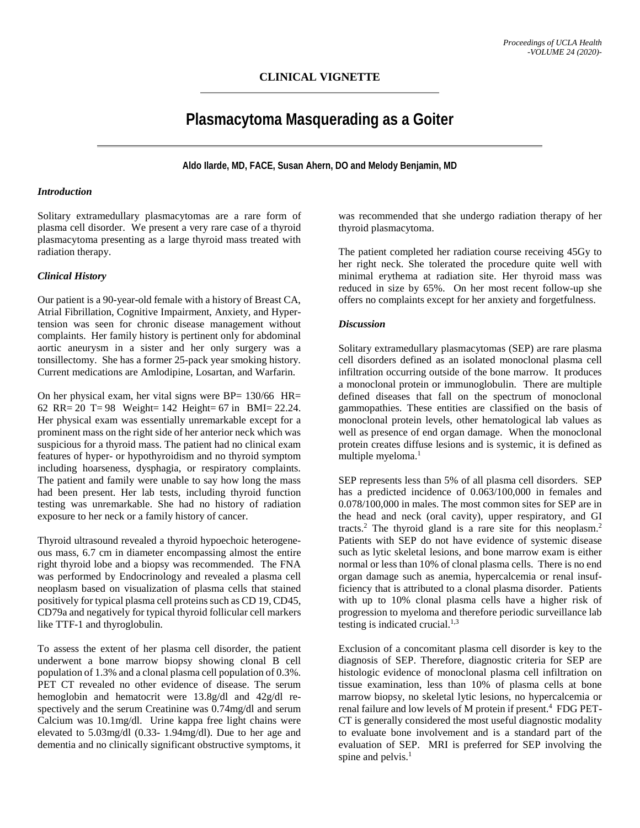# **Plasmacytoma Masquerading as a Goiter**

**Aldo Ilarde, MD, FACE, Susan Ahern, DO and Melody Benjamin, MD**

### *Introduction*

Solitary extramedullary plasmacytomas are a rare form of plasma cell disorder. We present a very rare case of a thyroid plasmacytoma presenting as a large thyroid mass treated with radiation therapy.

## *Clinical History*

Our patient is a 90-year-old female with a history of Breast CA, Atrial Fibrillation, Cognitive Impairment, Anxiety, and Hypertension was seen for chronic disease management without complaints. Her family history is pertinent only for abdominal aortic aneurysm in a sister and her only surgery was a tonsillectomy. She has a former 25-pack year smoking history. Current medications are Amlodipine, Losartan, and Warfarin.

On her physical exam, her vital signs were BP= 130/66 HR= 62 RR= 20 T= 98 Weight= 142 Height= 67 in BMI= 22.24. Her physical exam was essentially unremarkable except for a prominent mass on the right side of her anterior neck which was suspicious for a thyroid mass. The patient had no clinical exam features of hyper- or hypothyroidism and no thyroid symptom including hoarseness, dysphagia, or respiratory complaints. The patient and family were unable to say how long the mass had been present. Her lab tests, including thyroid function testing was unremarkable. She had no history of radiation exposure to her neck or a family history of cancer.

Thyroid ultrasound revealed a thyroid hypoechoic heterogeneous mass, 6.7 cm in diameter encompassing almost the entire right thyroid lobe and a biopsy was recommended. The FNA was performed by Endocrinology and revealed a plasma cell neoplasm based on visualization of plasma cells that stained positively for typical plasma cell proteins such as CD 19, CD45, CD79a and negatively for typical thyroid follicular cell markers like TTF-1 and thyroglobulin.

To assess the extent of her plasma cell disorder, the patient underwent a bone marrow biopsy showing clonal B cell population of 1.3% and a clonal plasma cell population of 0.3%. PET CT revealed no other evidence of disease. The serum hemoglobin and hematocrit were 13.8g/dl and 42g/dl respectively and the serum Creatinine was 0.74mg/dl and serum Calcium was 10.1mg/dl. Urine kappa free light chains were elevated to 5.03mg/dl (0.33- 1.94mg/dl). Due to her age and dementia and no clinically significant obstructive symptoms, it

was recommended that she undergo radiation therapy of her thyroid plasmacytoma.

The patient completed her radiation course receiving 45Gy to her right neck. She tolerated the procedure quite well with minimal erythema at radiation site. Her thyroid mass was reduced in size by 65%. On her most recent follow-up she offers no complaints except for her anxiety and forgetfulness.

### *Discussion*

Solitary extramedullary plasmacytomas (SEP) are rare plasma cell disorders defined as an isolated monoclonal plasma cell infiltration occurring outside of the bone marrow. It produces a monoclonal protein or immunoglobulin. There are multiple defined diseases that fall on the spectrum of monoclonal gammopathies. These entities are classified on the basis of monoclonal protein levels, other hematological lab values as well as presence of end organ damage. When the monoclonal protein creates diffuse lesions and is systemic, it is defined as multiple myeloma.<sup>1</sup>

SEP represents less than 5% of all plasma cell disorders. SEP has a predicted incidence of 0.063/100,000 in females and 0.078/100,000 in males. The most common sites for SEP are in the head and neck (oral cavity), upper respiratory, and GI tracts. <sup>2</sup> The thyroid gland is a rare site for this neoplasm. 2 Patients with SEP do not have evidence of systemic disease such as lytic skeletal lesions, and bone marrow exam is either normal or less than 10% of clonal plasma cells. There is no end organ damage such as anemia, hypercalcemia or renal insufficiency that is attributed to a clonal plasma disorder. Patients with up to 10% clonal plasma cells have a higher risk of progression to myeloma and therefore periodic surveillance lab testing is indicated crucial.<sup>1,3</sup>

Exclusion of a concomitant plasma cell disorder is key to the diagnosis of SEP. Therefore, diagnostic criteria for SEP are histologic evidence of monoclonal plasma cell infiltration on tissue examination, less than 10% of plasma cells at bone marrow biopsy, no skeletal lytic lesions, no hypercalcemia or renal failure and low levels of M protein if present. 4 FDG PET-CT is generally considered the most useful diagnostic modality to evaluate bone involvement and is a standard part of the evaluation of SEP. MRI is preferred for SEP involving the spine and pelvis.<sup>1</sup>